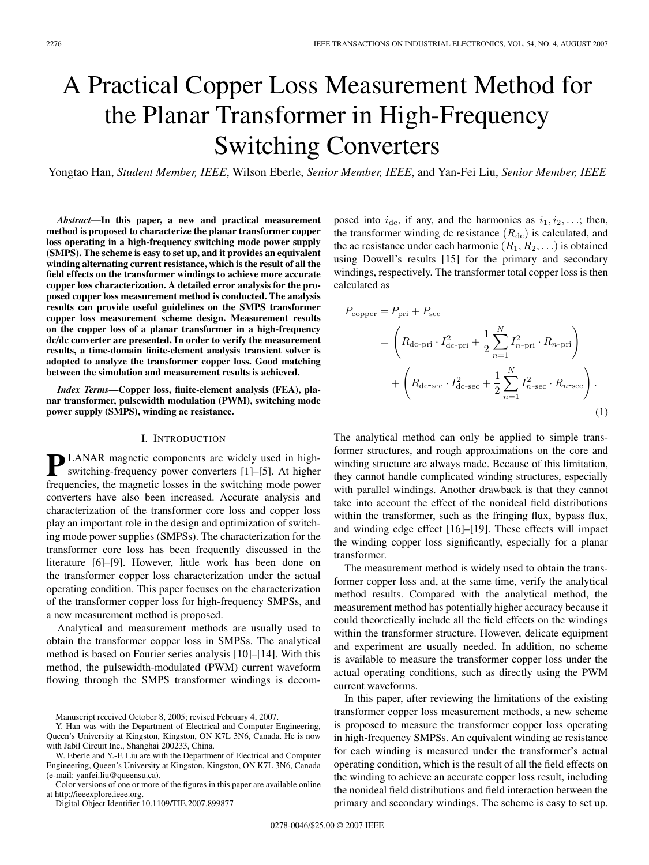# A Practical Copper Loss Measurement Method for the Planar Transformer in High-Frequency Switching Converters

Yongtao Han, *Student Member, IEEE*, Wilson Eberle, *Senior Member, IEEE*, and Yan-Fei Liu, *Senior Member, IEEE*

*Abstract***—In this paper, a new and practical measurement method is proposed to characterize the planar transformer copper loss operating in a high-frequency switching mode power supply (SMPS). The scheme is easy to set up, and it provides an equivalent winding alternating current resistance, which is the result of all the field effects on the transformer windings to achieve more accurate copper loss characterization. A detailed error analysis for the proposed copper loss measurement method is conducted. The analysis results can provide useful guidelines on the SMPS transformer copper loss measurement scheme design. Measurement results on the copper loss of a planar transformer in a high-frequency dc/dc converter are presented. In order to verify the measurement results, a time-domain finite-element analysis transient solver is adopted to analyze the transformer copper loss. Good matching between the simulation and measurement results is achieved.**

*Index Terms***—Copper loss, finite-element analysis (FEA), planar transformer, pulsewidth modulation (PWM), switching mode power supply (SMPS), winding ac resistance.**

### I. INTRODUCTION

**PLANAR** magnetic components are widely used in highswitching-frequency power converters [1]–[5]. At higher frequencies, the magnetic losses in the switching mode power converters have also been increased. Accurate analysis and characterization of the transformer core loss and copper loss play an important role in the design and optimization of switching mode power supplies (SMPSs). The characterization for the transformer core loss has been frequently discussed in the literature [6]–[9]. However, little work has been done on the transformer copper loss characterization under the actual operating condition. This paper focuses on the characterization of the transformer copper loss for high-frequency SMPSs, and a new measurement method is proposed.

Analytical and measurement methods are usually used to obtain the transformer copper loss in SMPSs. The analytical method is based on Fourier series analysis [10]–[14]. With this method, the pulsewidth-modulated (PWM) current waveform flowing through the SMPS transformer windings is decom-

W. Eberle and Y.-F. Liu are with the Department of Electrical and Computer Engineering, Queen's University at Kingston, Kingston, ON K7L 3N6, Canada (e-mail: yanfei.liu@queensu.ca).

Color versions of one or more of the figures in this paper are available online at http://ieeexplore.ieee.org.

Digital Object Identifier 10.1109/TIE.2007.899877

posed into  $i_{\text{dc}}$ , if any, and the harmonics as  $i_1, i_2, \ldots$ ; then, the transformer winding dc resistance  $(R_{dc})$  is calculated, and the ac resistance under each harmonic  $(R_1, R_2,...)$  is obtained using Dowell's results [15] for the primary and secondary windings, respectively. The transformer total copper loss is then calculated as

$$
P_{\text{copper}} = P_{\text{pri}} + P_{\text{sec}}
$$
  
=  $\left(R_{\text{dc-pri}} \cdot I_{\text{dc-pri}}^2 + \frac{1}{2} \sum_{n=1}^N I_{n-\text{pri}}^2 \cdot R_{n-\text{pri}}\right)$   
+  $\left(R_{\text{dc-sec}} \cdot I_{\text{dc-sec}}^2 + \frac{1}{2} \sum_{n=1}^N I_{n-\text{sec}}^2 \cdot R_{n-\text{sec}}\right)$ . (1)

The analytical method can only be applied to simple transformer structures, and rough approximations on the core and winding structure are always made. Because of this limitation, they cannot handle complicated winding structures, especially with parallel windings. Another drawback is that they cannot take into account the effect of the nonideal field distributions within the transformer, such as the fringing flux, bypass flux, and winding edge effect [16]–[19]. These effects will impact the winding copper loss significantly, especially for a planar transformer.

The measurement method is widely used to obtain the transformer copper loss and, at the same time, verify the analytical method results. Compared with the analytical method, the measurement method has potentially higher accuracy because it could theoretically include all the field effects on the windings within the transformer structure. However, delicate equipment and experiment are usually needed. In addition, no scheme is available to measure the transformer copper loss under the actual operating conditions, such as directly using the PWM current waveforms.

In this paper, after reviewing the limitations of the existing transformer copper loss measurement methods, a new scheme is proposed to measure the transformer copper loss operating in high-frequency SMPSs. An equivalent winding ac resistance for each winding is measured under the transformer's actual operating condition, which is the result of all the field effects on the winding to achieve an accurate copper loss result, including the nonideal field distributions and field interaction between the primary and secondary windings. The scheme is easy to set up.

Manuscript received October 8, 2005; revised February 4, 2007.

Y. Han was with the Department of Electrical and Computer Engineering, Queen's University at Kingston, Kingston, ON K7L 3N6, Canada. He is now with Jabil Circuit Inc., Shanghai 200233, China.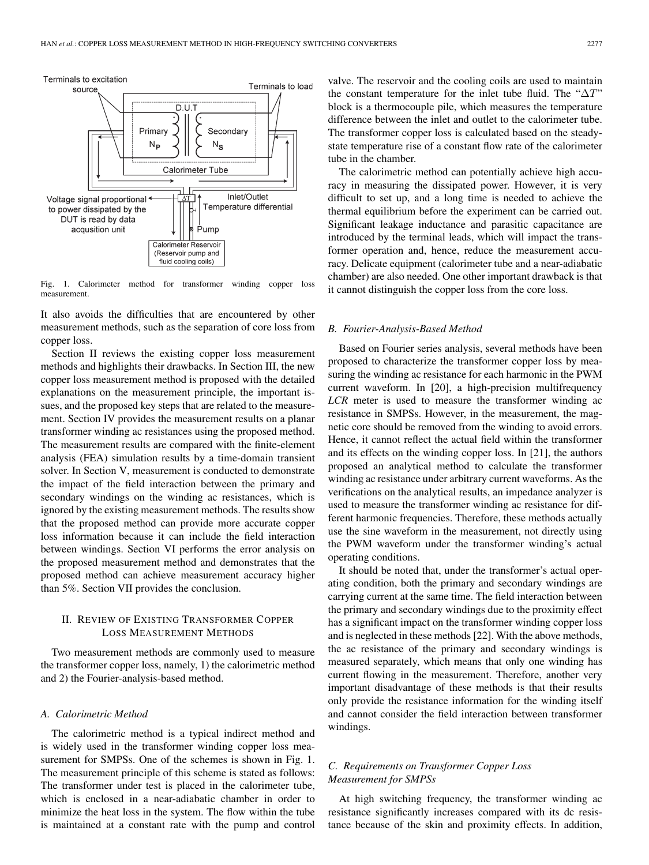

Fig. 1. Calorimeter method for transformer winding copper loss measurement.

It also avoids the difficulties that are encountered by other measurement methods, such as the separation of core loss from copper loss.

Section II reviews the existing copper loss measurement methods and highlights their drawbacks. In Section III, the new copper loss measurement method is proposed with the detailed explanations on the measurement principle, the important issues, and the proposed key steps that are related to the measurement. Section IV provides the measurement results on a planar transformer winding ac resistances using the proposed method. The measurement results are compared with the finite-element analysis (FEA) simulation results by a time-domain transient solver. In Section V, measurement is conducted to demonstrate the impact of the field interaction between the primary and secondary windings on the winding ac resistances, which is ignored by the existing measurement methods. The results show that the proposed method can provide more accurate copper loss information because it can include the field interaction between windings. Section VI performs the error analysis on the proposed measurement method and demonstrates that the proposed method can achieve measurement accuracy higher than 5%. Section VII provides the conclusion.

# II. REVIEW OF EXISTING TRANSFORMER COPPER LOSS MEASUREMENT METHODS

Two measurement methods are commonly used to measure the transformer copper loss, namely, 1) the calorimetric method and 2) the Fourier-analysis-based method.

#### *A. Calorimetric Method*

The calorimetric method is a typical indirect method and is widely used in the transformer winding copper loss measurement for SMPSs. One of the schemes is shown in Fig. 1. The measurement principle of this scheme is stated as follows: The transformer under test is placed in the calorimeter tube, which is enclosed in a near-adiabatic chamber in order to minimize the heat loss in the system. The flow within the tube is maintained at a constant rate with the pump and control valve. The reservoir and the cooling coils are used to maintain the constant temperature for the inlet tube fluid. The " $\Delta T$ " block is a thermocouple pile, which measures the temperature difference between the inlet and outlet to the calorimeter tube. The transformer copper loss is calculated based on the steadystate temperature rise of a constant flow rate of the calorimeter tube in the chamber.

The calorimetric method can potentially achieve high accuracy in measuring the dissipated power. However, it is very difficult to set up, and a long time is needed to achieve the thermal equilibrium before the experiment can be carried out. Significant leakage inductance and parasitic capacitance are introduced by the terminal leads, which will impact the transformer operation and, hence, reduce the measurement accuracy. Delicate equipment (calorimeter tube and a near-adiabatic chamber) are also needed. One other important drawback is that it cannot distinguish the copper loss from the core loss.

## *B. Fourier-Analysis-Based Method*

Based on Fourier series analysis, several methods have been proposed to characterize the transformer copper loss by measuring the winding ac resistance for each harmonic in the PWM current waveform. In [20], a high-precision multifrequency *LCR* meter is used to measure the transformer winding ac resistance in SMPSs. However, in the measurement, the magnetic core should be removed from the winding to avoid errors. Hence, it cannot reflect the actual field within the transformer and its effects on the winding copper loss. In [21], the authors proposed an analytical method to calculate the transformer winding ac resistance under arbitrary current waveforms. As the verifications on the analytical results, an impedance analyzer is used to measure the transformer winding ac resistance for different harmonic frequencies. Therefore, these methods actually use the sine waveform in the measurement, not directly using the PWM waveform under the transformer winding's actual operating conditions.

It should be noted that, under the transformer's actual operating condition, both the primary and secondary windings are carrying current at the same time. The field interaction between the primary and secondary windings due to the proximity effect has a significant impact on the transformer winding copper loss and is neglected in these methods [22]. With the above methods, the ac resistance of the primary and secondary windings is measured separately, which means that only one winding has current flowing in the measurement. Therefore, another very important disadvantage of these methods is that their results only provide the resistance information for the winding itself and cannot consider the field interaction between transformer windings.

# *C. Requirements on Transformer Copper Loss Measurement for SMPSs*

At high switching frequency, the transformer winding ac resistance significantly increases compared with its dc resistance because of the skin and proximity effects. In addition,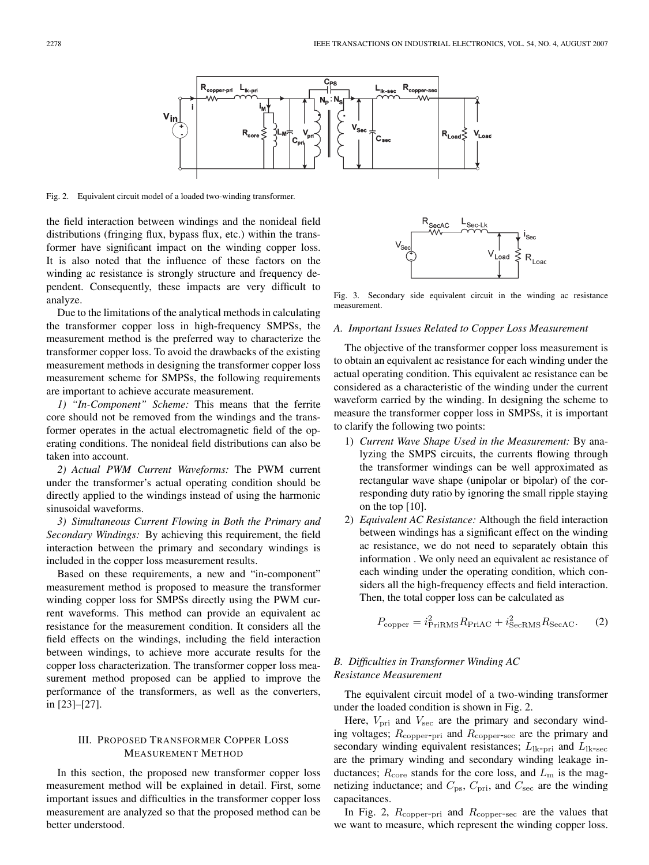

Fig. 2. Equivalent circuit model of a loaded two-winding transformer.

the field interaction between windings and the nonideal field distributions (fringing flux, bypass flux, etc.) within the transformer have significant impact on the winding copper loss. It is also noted that the influence of these factors on the winding ac resistance is strongly structure and frequency dependent. Consequently, these impacts are very difficult to analyze.

Due to the limitations of the analytical methods in calculating the transformer copper loss in high-frequency SMPSs, the measurement method is the preferred way to characterize the transformer copper loss. To avoid the drawbacks of the existing measurement methods in designing the transformer copper loss measurement scheme for SMPSs, the following requirements are important to achieve accurate measurement.

*1) "In-Component" Scheme:* This means that the ferrite core should not be removed from the windings and the transformer operates in the actual electromagnetic field of the operating conditions. The nonideal field distributions can also be taken into account.

*2) Actual PWM Current Waveforms:* The PWM current under the transformer's actual operating condition should be directly applied to the windings instead of using the harmonic sinusoidal waveforms.

*3) Simultaneous Current Flowing in Both the Primary and Secondary Windings:* By achieving this requirement, the field interaction between the primary and secondary windings is included in the copper loss measurement results.

Based on these requirements, a new and "in-component" measurement method is proposed to measure the transformer winding copper loss for SMPSs directly using the PWM current waveforms. This method can provide an equivalent ac resistance for the measurement condition. It considers all the field effects on the windings, including the field interaction between windings, to achieve more accurate results for the copper loss characterization. The transformer copper loss measurement method proposed can be applied to improve the performance of the transformers, as well as the converters, in [23]–[27].

## III. PROPOSED TRANSFORMER COPPER LOSS MEASUREMENT METHOD

In this section, the proposed new transformer copper loss measurement method will be explained in detail. First, some important issues and difficulties in the transformer copper loss measurement are analyzed so that the proposed method can be better understood.



Fig. 3. Secondary side equivalent circuit in the winding ac resistance measurement.

#### *A. Important Issues Related to Copper Loss Measurement*

The objective of the transformer copper loss measurement is to obtain an equivalent ac resistance for each winding under the actual operating condition. This equivalent ac resistance can be considered as a characteristic of the winding under the current waveform carried by the winding. In designing the scheme to measure the transformer copper loss in SMPSs, it is important to clarify the following two points:

- 1) *Current Wave Shape Used in the Measurement:* By analyzing the SMPS circuits, the currents flowing through the transformer windings can be well approximated as rectangular wave shape (unipolar or bipolar) of the corresponding duty ratio by ignoring the small ripple staying on the top [10].
- 2) *Equivalent AC Resistance:* Although the field interaction between windings has a significant effect on the winding ac resistance, we do not need to separately obtain this information . We only need an equivalent ac resistance of each winding under the operating condition, which considers all the high-frequency effects and field interaction. Then, the total copper loss can be calculated as

$$
P_{\text{copper}} = i_{\text{PriRMS}}^2 R_{\text{PriAC}} + i_{\text{SecRMS}}^2 R_{\text{SecAC}}.
$$
 (2)

# *B. Difficulties in Transformer Winding AC Resistance Measurement*

The equivalent circuit model of a two-winding transformer under the loaded condition is shown in Fig. 2.

Here,  $V_{\text{pri}}$  and  $V_{\text{sec}}$  are the primary and secondary winding voltages;  $R_{\text{copper-pri}}$  and  $R_{\text{copper-sec}}$  are the primary and secondary winding equivalent resistances;  $L_{\text{lk-pri}}$  and  $L_{\text{lk-sec}}$ are the primary winding and secondary winding leakage inductances;  $R_{\text{core}}$  stands for the core loss, and  $L_{\text{m}}$  is the magnetizing inductance; and  $C_{\text{ps}}$ ,  $C_{\text{pri}}$ , and  $C_{\text{sec}}$  are the winding capacitances.

In Fig. 2,  $R_{\text{copper-pri}}$  and  $R_{\text{copper-sec}}$  are the values that we want to measure, which represent the winding copper loss.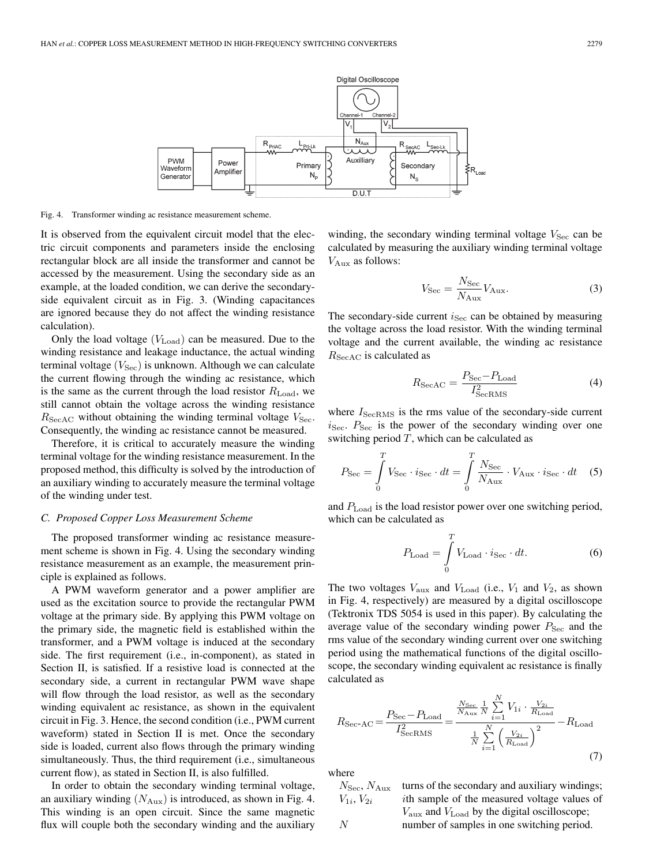

Fig. 4. Transformer winding ac resistance measurement scheme.

It is observed from the equivalent circuit model that the electric circuit components and parameters inside the enclosing rectangular block are all inside the transformer and cannot be accessed by the measurement. Using the secondary side as an example, at the loaded condition, we can derive the secondaryside equivalent circuit as in Fig. 3. (Winding capacitances are ignored because they do not affect the winding resistance calculation).

Only the load voltage  $(V_{Load})$  can be measured. Due to the winding resistance and leakage inductance, the actual winding terminal voltage  $(V_{\text{Sec}})$  is unknown. Although we can calculate the current flowing through the winding ac resistance, which is the same as the current through the load resistor  $R_{\text{Load}}$ , we still cannot obtain the voltage across the winding resistance  $R_{\text{SecAC}}$  without obtaining the winding terminal voltage  $V_{\text{Sec}}$ . Consequently, the winding ac resistance cannot be measured.

Therefore, it is critical to accurately measure the winding terminal voltage for the winding resistance measurement. In the proposed method, this difficulty is solved by the introduction of an auxiliary winding to accurately measure the terminal voltage of the winding under test.

#### *C. Proposed Copper Loss Measurement Scheme*

The proposed transformer winding ac resistance measurement scheme is shown in Fig. 4. Using the secondary winding resistance measurement as an example, the measurement principle is explained as follows.

A PWM waveform generator and a power amplifier are used as the excitation source to provide the rectangular PWM voltage at the primary side. By applying this PWM voltage on the primary side, the magnetic field is established within the transformer, and a PWM voltage is induced at the secondary side. The first requirement (i.e., in-component), as stated in Section II, is satisfied. If a resistive load is connected at the secondary side, a current in rectangular PWM wave shape will flow through the load resistor, as well as the secondary winding equivalent ac resistance, as shown in the equivalent circuit in Fig. 3. Hence, the second condition (i.e., PWM current waveform) stated in Section II is met. Once the secondary side is loaded, current also flows through the primary winding simultaneously. Thus, the third requirement (i.e., simultaneous current flow), as stated in Section II, is also fulfilled.

In order to obtain the secondary winding terminal voltage, an auxiliary winding  $(N_{\text{Aux}})$  is introduced, as shown in Fig. 4. This winding is an open circuit. Since the same magnetic flux will couple both the secondary winding and the auxiliary winding, the secondary winding terminal voltage  $V_{\text{Sec}}$  can be calculated by measuring the auxiliary winding terminal voltage  $V_{\text{Aux}}$  as follows:

$$
V_{\text{Sec}} = \frac{N_{\text{Sec}}}{N_{\text{Aux}}} V_{\text{Aux}}.
$$
 (3)

The secondary-side current  $i<sub>Sec</sub>$  can be obtained by measuring the voltage across the load resistor. With the winding terminal voltage and the current available, the winding ac resistance  $R_{\text{SecAC}}$  is calculated as

$$
R_{\text{SecAC}} = \frac{P_{\text{Sec}} - P_{\text{Load}}}{I_{\text{SecRMS}}^2}
$$
 (4)

where  $I_{\text{SecRMS}}$  is the rms value of the secondary-side current  $i<sub>Sec</sub>$ .  $P<sub>Sec</sub>$  is the power of the secondary winding over one switching period  $T$ , which can be calculated as

$$
P_{\text{Sec}} = \int_{0}^{T} V_{\text{Sec}} \cdot i_{\text{Sec}} \cdot dt = \int_{0}^{T} \frac{N_{\text{Sec}}}{N_{\text{Aux}}} \cdot V_{\text{Aux}} \cdot i_{\text{Sec}} \cdot dt \quad (5)
$$

and  $P_{\text{Load}}$  is the load resistor power over one switching period, which can be calculated as

$$
P_{\text{Load}} = \int_{0}^{T} V_{\text{Load}} \cdot i_{\text{Sec}} \cdot dt. \tag{6}
$$

The two voltages  $V_{\text{aux}}$  and  $V_{\text{Load}}$  (i.e.,  $V_1$  and  $V_2$ , as shown in Fig. 4, respectively) are measured by a digital oscilloscope (Tektronix TDS 5054 is used in this paper). By calculating the average value of the secondary winding power  $P_{\text{Sec}}$  and the rms value of the secondary winding current over one switching period using the mathematical functions of the digital oscilloscope, the secondary winding equivalent ac resistance is finally calculated as

$$
R_{\text{Sec-AC}} = \frac{P_{\text{Sec}} - P_{\text{Load}}}{I_{\text{SecRMS}}^2} = \frac{\frac{N_{\text{Sec}}}{N_{\text{Aux}}} \frac{1}{N} \sum_{i=1}^{N} V_{1i} \cdot \frac{V_{2i}}{R_{\text{Load}}}}{\frac{1}{N} \sum_{i=1}^{N} \left(\frac{V_{2i}}{R_{\text{Load}}}\right)^2} - R_{\text{Load}}
$$
\n(7)

where

 $N<sub>Sec</sub>, N<sub>Aux</sub>$  turns of the secondary and auxiliary windings;  $V_{1i}$ ,  $V_{2i}$  ith sample of the measured voltage values of  $V_{\text{aux}}$  and  $V_{\text{Load}}$  by the digital oscilloscope; N number of samples in one switching period.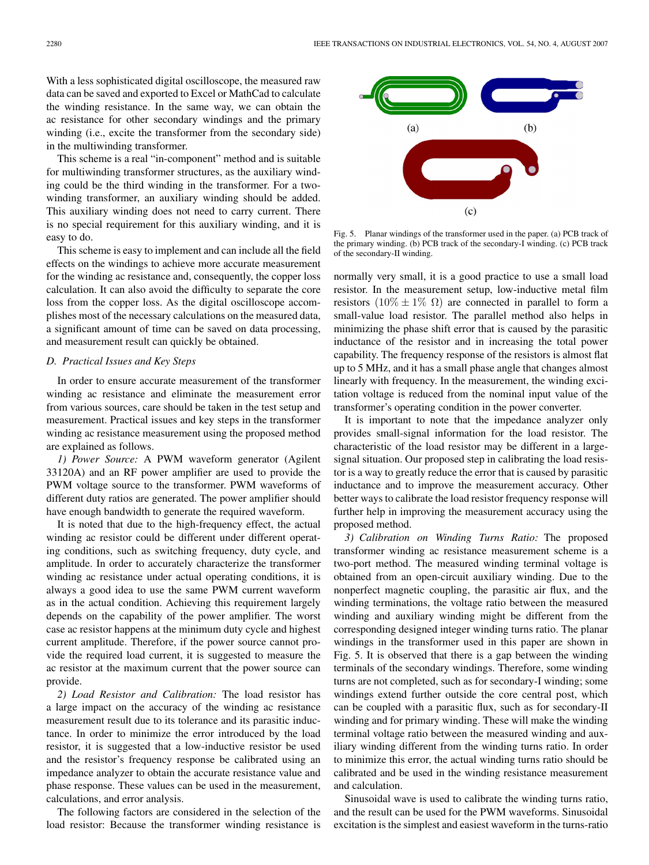With a less sophisticated digital oscilloscope, the measured raw data can be saved and exported to Excel or MathCad to calculate the winding resistance. In the same way, we can obtain the ac resistance for other secondary windings and the primary winding (i.e., excite the transformer from the secondary side) in the multiwinding transformer.

This scheme is a real "in-component" method and is suitable for multiwinding transformer structures, as the auxiliary winding could be the third winding in the transformer. For a twowinding transformer, an auxiliary winding should be added. This auxiliary winding does not need to carry current. There is no special requirement for this auxiliary winding, and it is easy to do.

This scheme is easy to implement and can include all the field effects on the windings to achieve more accurate measurement for the winding ac resistance and, consequently, the copper loss calculation. It can also avoid the difficulty to separate the core loss from the copper loss. As the digital oscilloscope accomplishes most of the necessary calculations on the measured data, a significant amount of time can be saved on data processing, and measurement result can quickly be obtained.

#### *D. Practical Issues and Key Steps*

In order to ensure accurate measurement of the transformer winding ac resistance and eliminate the measurement error from various sources, care should be taken in the test setup and measurement. Practical issues and key steps in the transformer winding ac resistance measurement using the proposed method are explained as follows.

*1) Power Source:* A PWM waveform generator (Agilent 33120A) and an RF power amplifier are used to provide the PWM voltage source to the transformer. PWM waveforms of different duty ratios are generated. The power amplifier should have enough bandwidth to generate the required waveform.

It is noted that due to the high-frequency effect, the actual winding ac resistor could be different under different operating conditions, such as switching frequency, duty cycle, and amplitude. In order to accurately characterize the transformer winding ac resistance under actual operating conditions, it is always a good idea to use the same PWM current waveform as in the actual condition. Achieving this requirement largely depends on the capability of the power amplifier. The worst case ac resistor happens at the minimum duty cycle and highest current amplitude. Therefore, if the power source cannot provide the required load current, it is suggested to measure the ac resistor at the maximum current that the power source can provide.

*2) Load Resistor and Calibration:* The load resistor has a large impact on the accuracy of the winding ac resistance measurement result due to its tolerance and its parasitic inductance. In order to minimize the error introduced by the load resistor, it is suggested that a low-inductive resistor be used and the resistor's frequency response be calibrated using an impedance analyzer to obtain the accurate resistance value and phase response. These values can be used in the measurement, calculations, and error analysis.

The following factors are considered in the selection of the load resistor: Because the transformer winding resistance is



Fig. 5. Planar windings of the transformer used in the paper. (a) PCB track of the primary winding. (b) PCB track of the secondary-I winding. (c) PCB track of the secondary-II winding.

normally very small, it is a good practice to use a small load resistor. In the measurement setup, low-inductive metal film resistors  $(10\% \pm 1\% \Omega)$  are connected in parallel to form a small-value load resistor. The parallel method also helps in minimizing the phase shift error that is caused by the parasitic inductance of the resistor and in increasing the total power capability. The frequency response of the resistors is almost flat up to 5 MHz, and it has a small phase angle that changes almost linearly with frequency. In the measurement, the winding excitation voltage is reduced from the nominal input value of the transformer's operating condition in the power converter.

It is important to note that the impedance analyzer only provides small-signal information for the load resistor. The characteristic of the load resistor may be different in a largesignal situation. Our proposed step in calibrating the load resistor is a way to greatly reduce the error that is caused by parasitic inductance and to improve the measurement accuracy. Other better ways to calibrate the load resistor frequency response will further help in improving the measurement accuracy using the proposed method.

*3) Calibration on Winding Turns Ratio:* The proposed transformer winding ac resistance measurement scheme is a two-port method. The measured winding terminal voltage is obtained from an open-circuit auxiliary winding. Due to the nonperfect magnetic coupling, the parasitic air flux, and the winding terminations, the voltage ratio between the measured winding and auxiliary winding might be different from the corresponding designed integer winding turns ratio. The planar windings in the transformer used in this paper are shown in Fig. 5. It is observed that there is a gap between the winding terminals of the secondary windings. Therefore, some winding turns are not completed, such as for secondary-I winding; some windings extend further outside the core central post, which can be coupled with a parasitic flux, such as for secondary-II winding and for primary winding. These will make the winding terminal voltage ratio between the measured winding and auxiliary winding different from the winding turns ratio. In order to minimize this error, the actual winding turns ratio should be calibrated and be used in the winding resistance measurement and calculation.

Sinusoidal wave is used to calibrate the winding turns ratio, and the result can be used for the PWM waveforms. Sinusoidal excitation is the simplest and easiest waveform in the turns-ratio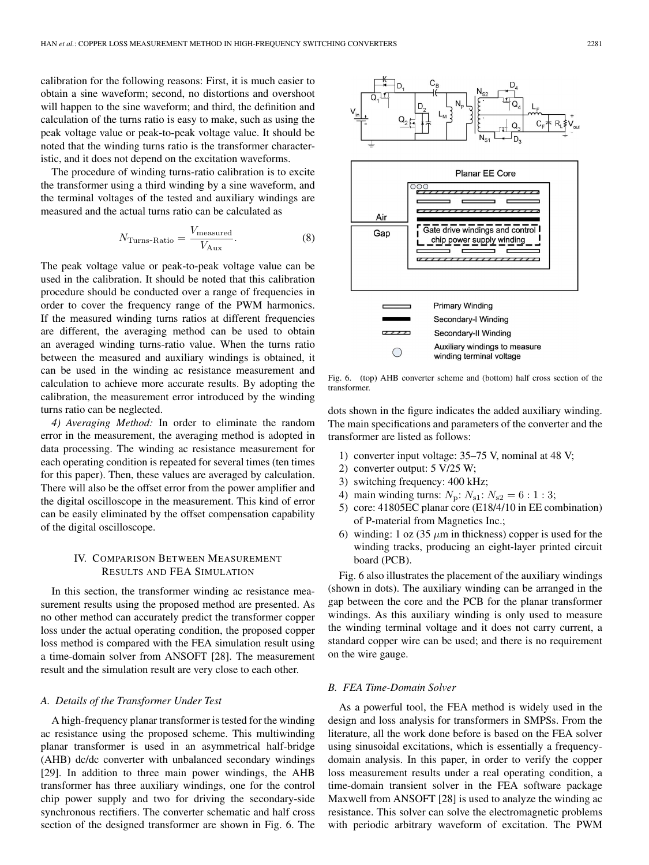calibration for the following reasons: First, it is much easier to obtain a sine waveform; second, no distortions and overshoot will happen to the sine waveform; and third, the definition and calculation of the turns ratio is easy to make, such as using the peak voltage value or peak-to-peak voltage value. It should be noted that the winding turns ratio is the transformer characteristic, and it does not depend on the excitation waveforms.

The procedure of winding turns-ratio calibration is to excite the transformer using a third winding by a sine waveform, and the terminal voltages of the tested and auxiliary windings are measured and the actual turns ratio can be calculated as

$$
N_{\text{Turns-Ratio}} = \frac{V_{\text{measured}}}{V_{\text{Aux}}}.
$$
 (8)

The peak voltage value or peak-to-peak voltage value can be used in the calibration. It should be noted that this calibration procedure should be conducted over a range of frequencies in order to cover the frequency range of the PWM harmonics. If the measured winding turns ratios at different frequencies are different, the averaging method can be used to obtain an averaged winding turns-ratio value. When the turns ratio between the measured and auxiliary windings is obtained, it can be used in the winding ac resistance measurement and calculation to achieve more accurate results. By adopting the calibration, the measurement error introduced by the winding turns ratio can be neglected.

*4) Averaging Method:* In order to eliminate the random error in the measurement, the averaging method is adopted in data processing. The winding ac resistance measurement for each operating condition is repeated for several times (ten times for this paper). Then, these values are averaged by calculation. There will also be the offset error from the power amplifier and the digital oscilloscope in the measurement. This kind of error can be easily eliminated by the offset compensation capability of the digital oscilloscope.

# IV. COMPARISON BETWEEN MEASUREMENT RESULTS AND FEA SIMULATION

In this section, the transformer winding ac resistance measurement results using the proposed method are presented. As no other method can accurately predict the transformer copper loss under the actual operating condition, the proposed copper loss method is compared with the FEA simulation result using a time-domain solver from ANSOFT [28]. The measurement result and the simulation result are very close to each other.

## *A. Details ofthe Transformer Under Test*

A high-frequency planar transformer is tested for the winding ac resistance using the proposed scheme. This multiwinding planar transformer is used in an asymmetrical half-bridge (AHB) dc/dc converter with unbalanced secondary windings [29]. In addition to three main power windings, the AHB transformer has three auxiliary windings, one for the control chip power supply and two for driving the secondary-side synchronous rectifiers. The converter schematic and half cross section of the designed transformer are shown in Fig. 6. The



Fig. 6. (top) AHB converter scheme and (bottom) half cross section of the transformer.

dots shown in the figure indicates the added auxiliary winding. The main specifications and parameters of the converter and the transformer are listed as follows:

- 1) converter input voltage: 35–75 V, nominal at 48 V;
- 2) converter output: 5 V/25 W;
- 3) switching frequency: 400 kHz;
- 4) main winding turns:  $N_p$ :  $N_{s1}$ :  $N_{s2} = 6:1:3;$
- 5) core: 41805EC planar core (E18/4/10 in EE combination) of P-material from Magnetics Inc.;
- 6) winding: 1 oz (35  $\mu$ m in thickness) copper is used for the winding tracks, producing an eight-layer printed circuit board (PCB).

Fig. 6 also illustrates the placement of the auxiliary windings (shown in dots). The auxiliary winding can be arranged in the gap between the core and the PCB for the planar transformer windings. As this auxiliary winding is only used to measure the winding terminal voltage and it does not carry current, a standard copper wire can be used; and there is no requirement on the wire gauge.

#### *B. FEA Time-Domain Solver*

As a powerful tool, the FEA method is widely used in the design and loss analysis for transformers in SMPSs. From the literature, all the work done before is based on the FEA solver using sinusoidal excitations, which is essentially a frequencydomain analysis. In this paper, in order to verify the copper loss measurement results under a real operating condition, a time-domain transient solver in the FEA software package Maxwell from ANSOFT [28] is used to analyze the winding ac resistance. This solver can solve the electromagnetic problems with periodic arbitrary waveform of excitation. The PWM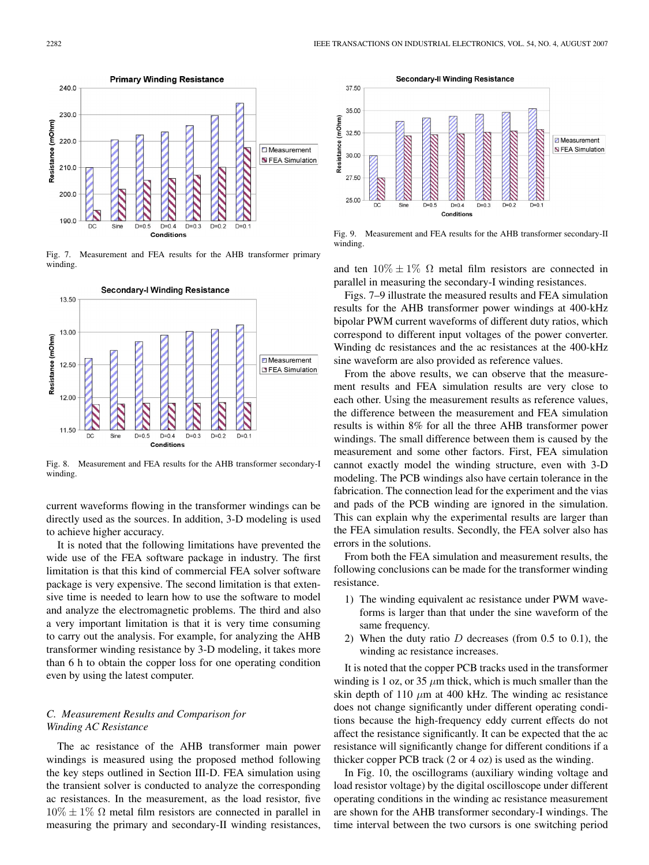

Fig. 7. Measurement and FEA results for the AHB transformer primary winding.



Fig. 8. Measurement and FEA results for the AHB transformer secondary-I winding.

current waveforms flowing in the transformer windings can be directly used as the sources. In addition, 3-D modeling is used to achieve higher accuracy.

It is noted that the following limitations have prevented the wide use of the FEA software package in industry. The first limitation is that this kind of commercial FEA solver software package is very expensive. The second limitation is that extensive time is needed to learn how to use the software to model and analyze the electromagnetic problems. The third and also a very important limitation is that it is very time consuming to carry out the analysis. For example, for analyzing the AHB transformer winding resistance by 3-D modeling, it takes more than 6 h to obtain the copper loss for one operating condition even by using the latest computer.

# *C. Measurement Results and Comparison for Winding AC Resistance*

The ac resistance of the AHB transformer main power windings is measured using the proposed method following the key steps outlined in Section III-D. FEA simulation using the transient solver is conducted to analyze the corresponding ac resistances. In the measurement, as the load resistor, five  $10\% \pm 1\%$  Ω metal film resistors are connected in parallel in measuring the primary and secondary-II winding resistances,



Fig. 9. Measurement and FEA results for the AHB transformer secondary-II winding.

and ten  $10\% \pm 1\%$  Ω metal film resistors are connected in parallel in measuring the secondary-I winding resistances.

Figs. 7–9 illustrate the measured results and FEA simulation results for the AHB transformer power windings at 400-kHz bipolar PWM current waveforms of different duty ratios, which correspond to different input voltages of the power converter. Winding dc resistances and the ac resistances at the 400-kHz sine waveform are also provided as reference values.

From the above results, we can observe that the measurement results and FEA simulation results are very close to each other. Using the measurement results as reference values, the difference between the measurement and FEA simulation results is within 8% for all the three AHB transformer power windings. The small difference between them is caused by the measurement and some other factors. First, FEA simulation cannot exactly model the winding structure, even with 3-D modeling. The PCB windings also have certain tolerance in the fabrication. The connection lead for the experiment and the vias and pads of the PCB winding are ignored in the simulation. This can explain why the experimental results are larger than the FEA simulation results. Secondly, the FEA solver also has errors in the solutions.

From both the FEA simulation and measurement results, the following conclusions can be made for the transformer winding resistance.

- 1) The winding equivalent ac resistance under PWM waveforms is larger than that under the sine waveform of the same frequency.
- 2) When the duty ratio  $D$  decreases (from 0.5 to 0.1), the winding ac resistance increases.

It is noted that the copper PCB tracks used in the transformer winding is 1 oz, or 35  $\mu$ m thick, which is much smaller than the skin depth of 110  $\mu$ m at 400 kHz. The winding ac resistance does not change significantly under different operating conditions because the high-frequency eddy current effects do not affect the resistance significantly. It can be expected that the ac resistance will significantly change for different conditions if a thicker copper PCB track (2 or 4 oz) is used as the winding.

In Fig. 10, the oscillograms (auxiliary winding voltage and load resistor voltage) by the digital oscilloscope under different operating conditions in the winding ac resistance measurement are shown for the AHB transformer secondary-I windings. The time interval between the two cursors is one switching period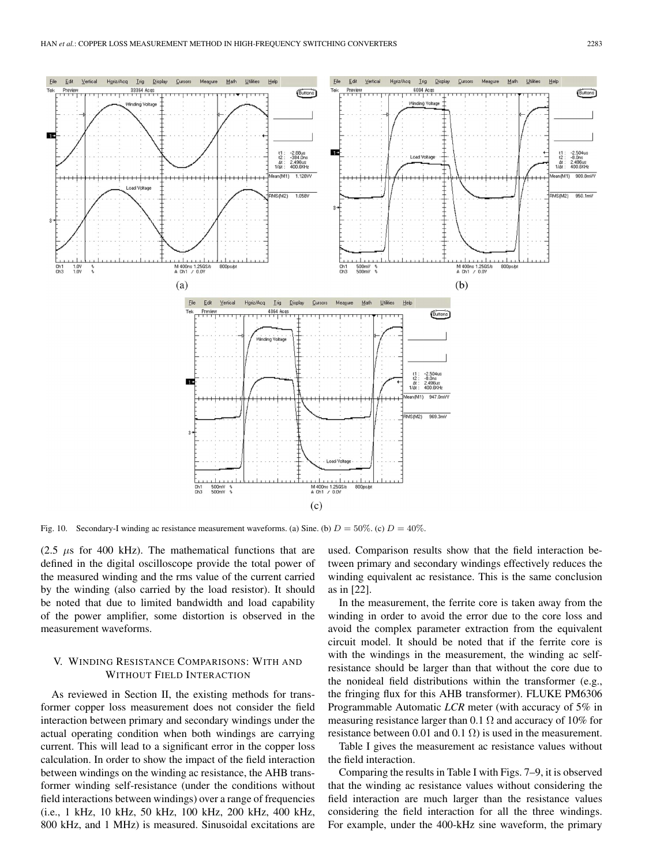

Fig. 10. Secondary-I winding ac resistance measurement waveforms. (a) Sine. (b)  $D = 50\%$ . (c)  $D = 40\%$ .

 $(2.5 \mu s)$  for 400 kHz). The mathematical functions that are defined in the digital oscilloscope provide the total power of the measured winding and the rms value of the current carried by the winding (also carried by the load resistor). It should be noted that due to limited bandwidth and load capability of the power amplifier, some distortion is observed in the measurement waveforms.

# V. WINDING RESISTANCE COMPARISONS: WITH AND WITHOUT FIELD INTERACTION

As reviewed in Section II, the existing methods for transformer copper loss measurement does not consider the field interaction between primary and secondary windings under the actual operating condition when both windings are carrying current. This will lead to a significant error in the copper loss calculation. In order to show the impact of the field interaction between windings on the winding ac resistance, the AHB transformer winding self-resistance (under the conditions without field interactions between windings) over a range of frequencies (i.e., 1 kHz, 10 kHz, 50 kHz, 100 kHz, 200 kHz, 400 kHz, 800 kHz, and 1 MHz) is measured. Sinusoidal excitations are

used. Comparison results show that the field interaction between primary and secondary windings effectively reduces the winding equivalent ac resistance. This is the same conclusion as in [22].

In the measurement, the ferrite core is taken away from the winding in order to avoid the error due to the core loss and avoid the complex parameter extraction from the equivalent circuit model. It should be noted that if the ferrite core is with the windings in the measurement, the winding ac selfresistance should be larger than that without the core due to the nonideal field distributions within the transformer (e.g., the fringing flux for this AHB transformer). FLUKE PM6306 Programmable Automatic *LCR* meter (with accuracy of 5% in measuring resistance larger than 0.1  $\Omega$  and accuracy of 10% for resistance between 0.01 and 0.1  $\Omega$ ) is used in the measurement.

Table I gives the measurement ac resistance values without the field interaction.

Comparing the results in Table I with Figs. 7–9, it is observed that the winding ac resistance values without considering the field interaction are much larger than the resistance values considering the field interaction for all the three windings. For example, under the 400-kHz sine waveform, the primary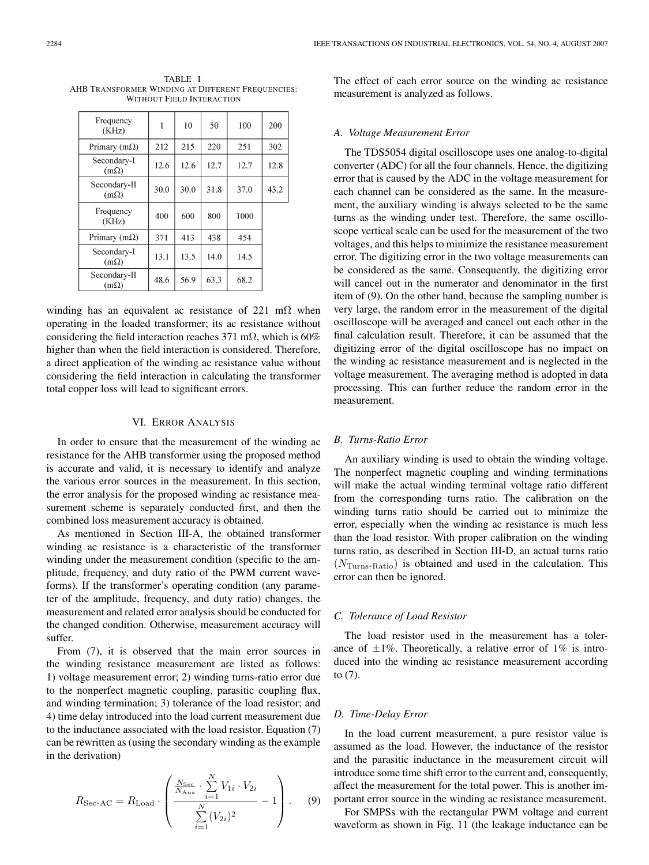TABLE I AHB TRANSFORMER WINDING AT DIFFERENT FREQUENCIES: WITHOUT FIELD INTERACTION

| Frequency<br>(KHz)          | 1    | 10   | 50   | 100  | 200  |
|-----------------------------|------|------|------|------|------|
| Primary (m $\Omega$ )       | 212  | 215  | 220  | 251  | 302  |
| Secondary-I<br>$(m\Omega)$  | 12.6 | 12.6 | 12.7 | 12.7 | 12.8 |
| Secondary-II<br>$(m\Omega)$ | 30.0 | 30.0 | 31.8 | 37.0 | 43.2 |
| Frequency<br>(KHz)          | 400  | 600  | 800  | 1000 |      |
| Primary $(m\Omega)$         | 371  | 413  | 438  | 454  |      |
| Secondary-I<br>$(m\Omega)$  | 13.1 | 13.5 | 14.0 | 14.5 |      |
| Secondary-II<br>$(m\Omega)$ | 48.6 | 56.9 | 63.3 | 68.2 |      |

winding has an equivalent ac resistance of 221 m $\Omega$  when operating in the loaded transformer; its ac resistance without considering the field interaction reaches 371 mΩ, which is  $60\%$ higher than when the field interaction is considered. Therefore, a direct application of the winding ac resistance value without considering the field interaction in calculating the transformer total copper loss will lead to significant errors.

## VI. ERROR ANALYSIS

In order to ensure that the measurement of the winding ac resistance for the AHB transformer using the proposed method is accurate and valid, it is necessary to identify and analyze the various error sources in the measurement. In this section, the error analysis for the proposed winding ac resistance measurement scheme is separately conducted first, and then the combined loss measurement accuracy is obtained.

As mentioned in Section III-A, the obtained transformer winding ac resistance is a characteristic of the transformer winding under the measurement condition (specific to the amplitude, frequency, and duty ratio of the PWM current waveforms). If the transformer's operating condition (any parameter of the amplitude, frequency, and duty ratio) changes, the measurement and related error analysis should be conducted for the changed condition. Otherwise, measurement accuracy will suffer.

From (7), it is observed that the main error sources in the winding resistance measurement are listed as follows: 1) voltage measurement error; 2) winding turns-ratio error due to the nonperfect magnetic coupling, parasitic coupling flux, and winding termination; 3) tolerance of the load resistor; and 4) time delay introduced into the load current measurement due to the inductance associated with the load resistor. Equation (7) can be rewritten as (using the secondary winding as the example in the derivation)

$$
R_{\text{Sec-AC}} = R_{\text{Load}} \cdot \left( \frac{\frac{N_{\text{Sec}}}{N_{\text{Aux}}} \cdot \sum_{i=1}^{N} V_{1i} \cdot V_{2i}}{\sum_{i=1}^{N} (V_{2i})^2} - 1 \right). \tag{9}
$$

 $\lambda$ 

The effect of each error source on the winding ac resistance measurement is analyzed as follows.

#### *A. Voltage Measurement Error*

The TDS5054 digital oscilloscope uses one analog-to-digital converter (ADC) for all the four channels. Hence, the digitizing error that is caused by the ADC in the voltage measurement for each channel can be considered as the same. In the measurement, the auxiliary winding is always selected to be the same turns as the winding under test. Therefore, the same oscilloscope vertical scale can be used for the measurement of the two voltages, and this helps to minimize the resistance measurement error. The digitizing error in the two voltage measurements can be considered as the same. Consequently, the digitizing error will cancel out in the numerator and denominator in the first item of (9). On the other hand, because the sampling number is very large, the random error in the measurement of the digital oscilloscope will be averaged and cancel out each other in the final calculation result. Therefore, it can be assumed that the digitizing error of the digital oscilloscope has no impact on the winding ac resistance measurement and is neglected in the voltage measurement. The averaging method is adopted in data processing. This can further reduce the random error in the measurement.

# *B. Turns-Ratio Error*

An auxiliary winding is used to obtain the winding voltage. The nonperfect magnetic coupling and winding terminations will make the actual winding terminal voltage ratio different from the corresponding turns ratio. The calibration on the winding turns ratio should be carried out to minimize the error, especially when the winding ac resistance is much less than the load resistor. With proper calibration on the winding turns ratio, as described in Section III-D, an actual turns ratio  $(N<sub>Turns-Ratio</sub>)$  is obtained and used in the calculation. This error can then be ignored.

# *C. Tolerance ofLoad Resistor*

The load resistor used in the measurement has a tolerance of  $\pm 1\%$ . Theoretically, a relative error of 1% is introduced into the winding ac resistance measurement according to (7).

#### *D. Time-Delay Error*

In the load current measurement, a pure resistor value is assumed as the load. However, the inductance of the resistor and the parasitic inductance in the measurement circuit will introduce some time shift error to the current and, consequently, affect the measurement for the total power. This is another important error source in the winding ac resistance measurement.

For SMPSs with the rectangular PWM voltage and current waveform as shown in Fig. 11 (the leakage inductance can be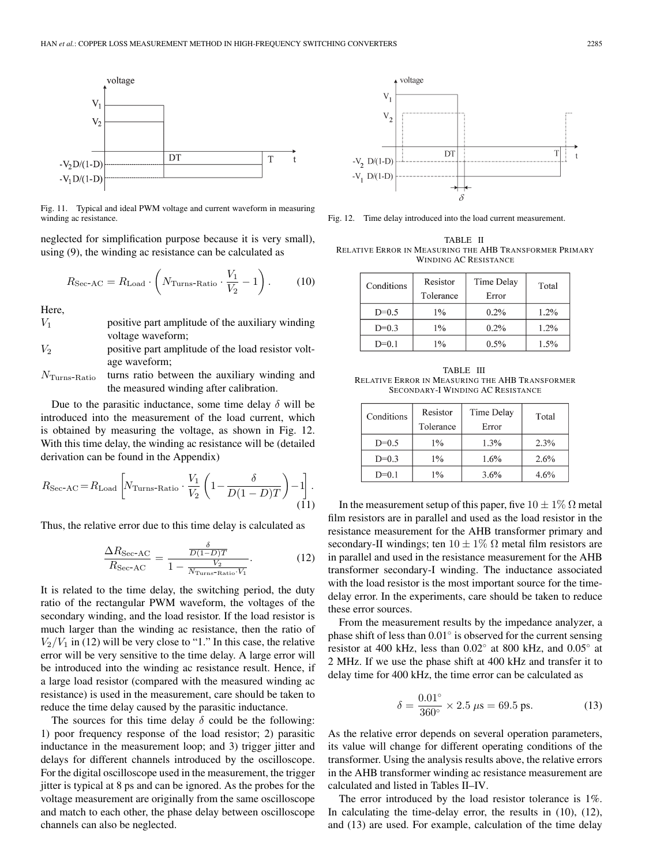

Fig. 11. Typical and ideal PWM voltage and current waveform in measuring winding ac resistance.

neglected for simplification purpose because it is very small), using (9), the winding ac resistance can be calculated as

$$
R_{\text{Sec-AC}} = R_{\text{Load}} \cdot \left( N_{\text{Turns-Ratio}} \cdot \frac{V_1}{V_2} - 1 \right). \tag{10}
$$

Here,

- $V_1$  positive part amplitude of the auxiliary winding voltage waveform;
- $V_2$  positive part amplitude of the load resistor voltage waveform;
- $N<sub>Turns-Ratio</sub>$  turns ratio between the auxiliary winding and the measured winding after calibration.

Due to the parasitic inductance, some time delay  $\delta$  will be introduced into the measurement of the load current, which is obtained by measuring the voltage, as shown in Fig. 12. With this time delay, the winding ac resistance will be (detailed derivation can be found in the Appendix)

$$
R_{\text{Sec-AC}} = R_{\text{Load}} \left[ N_{\text{Turns-Ratio}} \cdot \frac{V_1}{V_2} \left( 1 - \frac{\delta}{D(1 - D)T} \right) - 1 \right].
$$
\n(11)

Thus, the relative error due to this time delay is calculated as

$$
\frac{\Delta R_{\text{Sec-AC}}}{R_{\text{Sec-AC}}} = \frac{\frac{\delta}{D(1-D)T}}{1 - \frac{V_2}{N_{\text{Turns-Ratio}} \cdot V_1}}.
$$
(12)

It is related to the time delay, the switching period, the duty ratio of the rectangular PWM waveform, the voltages of the secondary winding, and the load resistor. If the load resistor is much larger than the winding ac resistance, then the ratio of  $V_2/V_1$  in (12) will be very close to "1." In this case, the relative error will be very sensitive to the time delay. A large error will be introduced into the winding ac resistance result. Hence, if a large load resistor (compared with the measured winding ac resistance) is used in the measurement, care should be taken to reduce the time delay caused by the parasitic inductance.

The sources for this time delay  $\delta$  could be the following: 1) poor frequency response of the load resistor; 2) parasitic inductance in the measurement loop; and 3) trigger jitter and delays for different channels introduced by the oscilloscope. For the digital oscilloscope used in the measurement, the trigger jitter is typical at 8 ps and can be ignored. As the probes for the voltage measurement are originally from the same oscilloscope and match to each other, the phase delay between oscilloscope channels can also be neglected.



Fig. 12. Time delay introduced into the load current measurement.

TABLE II RELATIVE ERROR IN MEASURING THE AHB TRANSFORMER PRIMARY WINDING AC RESISTANCE

| Conditions | Resistor<br>Tolerance | Time Delay<br>Error | Total |
|------------|-----------------------|---------------------|-------|
| $D=0.5$    | $1\%$                 | $0.2\%$             | 1.2%  |
| $D=0.3$    | $1\%$                 | $0.2\%$             | 1.2%  |
| $D=0.1$    | $1\%$                 | $0.5\%$             | 1.5%  |

TABLE III RELATIVE ERROR IN MEASURING THE AHB TRANSFORMER SECONDARY-I WINDING AC RESISTANCE

| Conditions | Resistor<br>Tolerance | Time Delay<br>Error | Total |
|------------|-----------------------|---------------------|-------|
| $D=0.5$    | $1\%$                 | $1.3\%$             | 2.3%  |
| $D=0.3$    | $1\%$                 | $1.6\%$             | 2.6%  |
| $D=0.1$    | 1%                    | 3.6%                | 4.6%  |

In the measurement setup of this paper, five  $10 \pm 1\%$   $\Omega$  metal film resistors are in parallel and used as the load resistor in the resistance measurement for the AHB transformer primary and secondary-II windings; ten  $10 \pm 1\%$   $\Omega$  metal film resistors are in parallel and used in the resistance measurement for the AHB transformer secondary-I winding. The inductance associated with the load resistor is the most important source for the timedelay error. In the experiments, care should be taken to reduce these error sources.

From the measurement results by the impedance analyzer, a phase shift of less than 0.01◦ is observed for the current sensing resistor at 400 kHz, less than 0.02◦ at 800 kHz, and 0.05◦ at 2 MHz. If we use the phase shift at 400 kHz and transfer it to delay time for 400 kHz, the time error can be calculated as

$$
\delta = \frac{0.01^{\circ}}{360^{\circ}} \times 2.5 \,\mu s = 69.5 \,\text{ps.}
$$
 (13)

As the relative error depends on several operation parameters, its value will change for different operating conditions of the transformer. Using the analysis results above, the relative errors in the AHB transformer winding ac resistance measurement are calculated and listed in Tables II–IV.

The error introduced by the load resistor tolerance is 1%. In calculating the time-delay error, the results in (10), (12), and (13) are used. For example, calculation of the time delay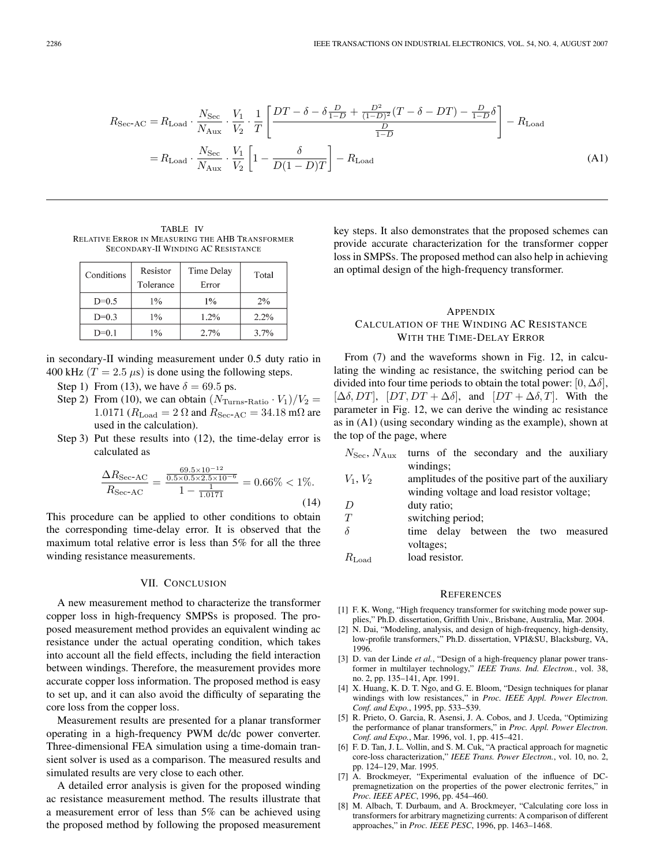$$
R_{\text{Sec-AC}} = R_{\text{Load}} \cdot \frac{N_{\text{Sec}}}{N_{\text{Aux}}} \cdot \frac{V_1}{V_2} \cdot \frac{1}{T} \left[ \frac{DT - \delta - \delta \frac{D}{1-D} + \frac{D^2}{(1-D)^2} (T - \delta - DT) - \frac{D}{1-D} \delta}{\frac{D}{1-D}} \right] - R_{\text{Load}}
$$

$$
= R_{\text{Load}} \cdot \frac{N_{\text{Sec}}}{N_{\text{Aux}}} \cdot \frac{V_1}{V_2} \left[ 1 - \frac{\delta}{D(1-D)T} \right] - R_{\text{Load}}
$$
(A1)

TABLE IV RELATIVE ERROR IN MEASURING THE AHB TRANSFORMER SECONDARY-II WINDING AC RESISTANCE

| Conditions | Resistor<br>Tolerance | Time Delay<br>Error | Total   |
|------------|-----------------------|---------------------|---------|
| $D=0.5$    | $1\%$                 | $1\%$               | 2%      |
| $D=0.3$    | $1\%$                 | 1.2%                | $2.2\%$ |
| $D=0.1$    | $1\%$                 | 2.7%                | 3.7%    |

in secondary-II winding measurement under 0.5 duty ratio in 400 kHz ( $T = 2.5 \,\mu s$ ) is done using the following steps.

- Step 1) From (13), we have  $\delta = 69.5$  ps.
- Step 2) From (10), we can obtain  $(N_{\text{Turns-Ratio}} \cdot V_1)/V_2$  = 1.0171 ( $R_{\text{Load}} = 2 \Omega$  and  $R_{\text{Sec-AC}} = 34.18 \text{ m}\Omega$  are used in the calculation).
- Step 3) Put these results into (12), the time-delay error is calculated as

$$
\frac{\Delta R_{\text{Sec-AC}}}{R_{\text{Sec-AC}}} = \frac{\frac{69.5 \times 10^{-12}}{0.5 \times 0.5 \times 2.5 \times 10^{-6}}}{1 - \frac{1}{1.0171}} = 0.66\% < 1\%.
$$
\n(14)

This procedure can be applied to other conditions to obtain the corresponding time-delay error. It is observed that the maximum total relative error is less than 5% for all the three winding resistance measurements.

#### VII. CONCLUSION

A new measurement method to characterize the transformer copper loss in high-frequency SMPSs is proposed. The proposed measurement method provides an equivalent winding ac resistance under the actual operating condition, which takes into account all the field effects, including the field interaction between windings. Therefore, the measurement provides more accurate copper loss information. The proposed method is easy to set up, and it can also avoid the difficulty of separating the core loss from the copper loss.

Measurement results are presented for a planar transformer operating in a high-frequency PWM dc/dc power converter. Three-dimensional FEA simulation using a time-domain transient solver is used as a comparison. The measured results and simulated results are very close to each other.

A detailed error analysis is given for the proposed winding ac resistance measurement method. The results illustrate that a measurement error of less than 5% can be achieved using the proposed method by following the proposed measurement key steps. It also demonstrates that the proposed schemes can provide accurate characterization for the transformer copper loss in SMPSs. The proposed method can also help in achieving an optimal design of the high-frequency transformer.

# APPENDIX CALCULATION OF THE WINDING AC RESISTANCE WITH THE TIME-DELAY ERROR

From (7) and the waveforms shown in Fig. 12, in calculating the winding ac resistance, the switching period can be divided into four time periods to obtain the total power: [0,  $\Delta \delta$ ],  $[\Delta \delta, DT]$ ,  $[DT, DT + \Delta \delta]$ , and  $[DT + \Delta \delta, T]$ . With the parameter in Fig. 12, we can derive the winding ac resistance as in (A1) (using secondary winding as the example), shown at the top of the page, where

| $N_{\rm Sec}, N_{\rm Aux}$ | turns of the secondary and the auxiliary         |
|----------------------------|--------------------------------------------------|
|                            | windings;                                        |
| $V_1, V_2$                 | amplitudes of the positive part of the auxiliary |
|                            | winding voltage and load resistor voltage;       |
| D                          | duty ratio;                                      |
| T                          | switching period;                                |
| δ                          | time delay between the two measured              |
|                            | voltages;                                        |
| $R_{\rm Load}$             | load resistor.                                   |
|                            |                                                  |

#### **REFERENCES**

- [1] F. K. Wong, "High frequency transformer for switching mode power supplies," Ph.D. dissertation, Griffith Univ., Brisbane, Australia, Mar. 2004.
- [2] N. Dai, "Modeling, analysis, and design of high-frequency, high-density, low-profile transformers," Ph.D. dissertation, VPI&SU, Blacksburg, VA, 1996.
- [3] D. van der Linde *et al.*, "Design of a high-frequency planar power transformer in multilayer technology," *IEEE Trans. Ind. Electron.*, vol. 38, no. 2, pp. 135–141, Apr. 1991.
- [4] X. Huang, K. D. T. Ngo, and G. E. Bloom, "Design techniques for planar windings with low resistances," in *Proc. IEEE Appl. Power Electron. Conf. and Expo.*, 1995, pp. 533–539.
- [5] R. Prieto, O. Garcia, R. Asensi, J. A. Cobos, and J. Uceda, "Optimizing the performance of planar transformers," in *Proc. Appl. Power Electron. Conf. and Expo.*, Mar. 1996, vol. 1, pp. 415–421.
- [6] F. D. Tan, J. L. Vollin, and S. M. Cuk, "A practical approach for magnetic core-loss characterization," *IEEE Trans. Power Electron.*, vol. 10, no. 2, pp. 124–129, Mar. 1995.
- [7] A. Brockmeyer, "Experimental evaluation of the influence of DCpremagnetization on the properties of the power electronic ferrites," in *Proc. IEEE APEC*, 1996, pp. 454–460.
- [8] M. Albach, T. Durbaum, and A. Brockmeyer, "Calculating core loss in transformers for arbitrary magnetizing currents: A comparison of different approaches," in *Proc. IEEE PESC*, 1996, pp. 1463–1468.